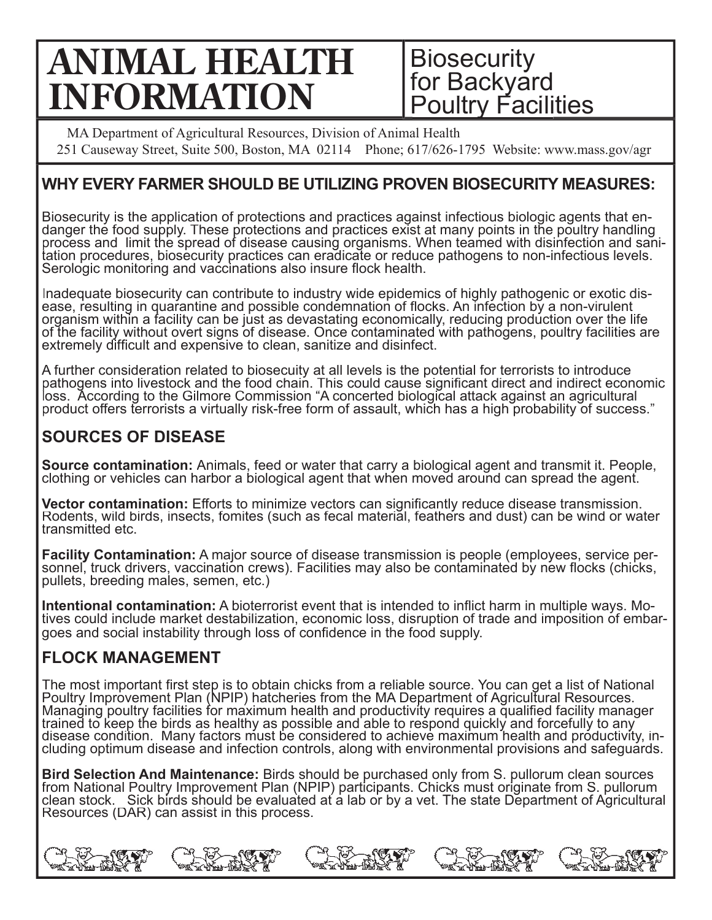# **ANIMAL HEALTH INFORMATION**

**Biosecurity** for Backyard **Poultry Facilities** 

MA Department of Agricultural Resources, Division of Animal Health 251 Causeway Street, Suite 500, Boston, MA 02114 Phone; 617/626-1795 Website: www.mass.gov/agr

### **WHY EVERY FARMER SHOULD BE UTILIZING PROVEN BIOSECURITY MEASURES:**

Biosecurity is the application of protections and practices against infectious biologic agents that enprocess and limit the spread of disease causing organisms. When teamed with disinfection and sanidanger the food supply. These protections and practices exist at many points in the poultry handling tation procedures, biosecurity practices can eradicate or reduce pathogens to non-infectious levels. Serologic monitoring and vaccinations also insure flock health.

Inadequate biosecurity can contribute to industry wide epidemics of highly pathogenic or exotic disease, resulting in quarantine and possible condemnation of flocks. An infection by a non-virulent<br>organism within a facility can be just as devastating economically, reducing production over the life of the facility without overt signs of disease. Once contaminated with pathogens, poultry facilities are extremely difficult and expensive to clean, sanitize and disinfect.

A further consideration related to biosecuity at all levels is the potential for terrorists to introduce pathogens into livestock and the food chain. This could cause significant direct and indirect economic loss. According to the Gilmore Commission "A concerted biological attack against an agricultural product offers terrorists a virtually risk-free form of assault, which has a high probability of success."

# **SOURCES OF DISEASE**

**Source contamination:** Animals, feed or water that carry a biological agent and transmit it. People,<br>clothing or vehicles can harbor a biological agent that when moved around can spread the agent.

**Vector contamination:** Efforts to minimize vectors can significantly reduce disease transmission.<br>Rodents, wild birds, insects, fomites (such as fecal material, feathers and dust) can be wind or water transmitted etc.

**Facility Contamination:** A major source of disease transmission is people (employees, service per-<br>sonnel, truck drivers, vaccination crews). Facilities may also be contaminated by new flocks (chicks, pullets, breeding males, semen, etc.)

**Intentional contamination:** A bioterrorist event that is intended to inflict harm in multiple ways. Mo-<br>tives could include market destabilization, economic loss, disruption of trade and imposition of embargoes and social instability through loss of confidence in the food supply.

# **FLOCK MANAGEMENT**

The most important first step is to obtain chicks from a reliable source. You can get a list of National Poultry Improvement Plan (NPIP) hatcheries from the MA Department of Agricultural Resources. Managing poultry facilities for maximum health and productivity requires a qualified facility manager<br>trained to keep the birds as healthy as possible and able to respond quickly and forcefully to any disease condition. Many factors must be considered to achieve maximum health and productivity, including optimum disease and infection controls, along with environmental provisions and safeguards.

**Bird Selection And Maintenance:** Birds should be purchased only from S. pullorum clean sources from National Poultry Improvement Plan (NPIP) participants. Chicks must originate from S. pullorum clean stock. Sick birds should be evaluated at a lab or by a vet. The state Department of Agricultural Resources (DAR) can assist in this process.